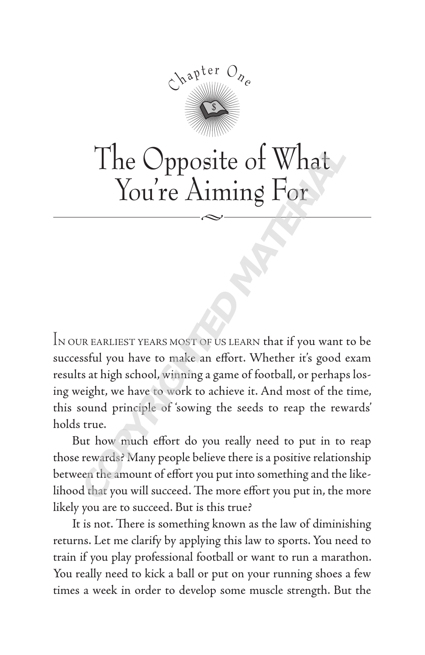

## The Opposite of What You're Aiming For

In our earliest years most of us learn that if you want to be successful you have to make an effort. Whether it's good exam results at high school, winning a game of football, or perhaps losing weight, we have to work to achieve it. And most of the time, this sound principle of 'sowing the seeds to reap the rewards' holds true. The Opposite of What<br>*You're Aiming For*<br>*COPYRIGHTED*<br>*COPYRIGHTED*<br>*COPYRIGHTED*<br>*COPYRIGHTED*<br>*COPYRIGHTED*<br>*COPYRIGHTED*<br>*COPYRIGHTED*<br>*COPYRIGHTED*<br>*COPYRIGHTED*<br>*COPYRIGHTED*<br>*COPYRIGHTED*<br>*COPYRIGHTED*<br>*COPYRIGHTED* 

But how much effort do you really need to put in to reap those rewards? Many people believe there is a positive relationship between the amount of effort you put into something and the likelihood that you will succeed. The more effort you put in, the more likely you are to succeed. But is this true?

It is not. There is something known as the law of diminishing returns. Let me clarify by applying this law to sports. You need to train if you play professional football or want to run a marathon. You really need to kick a ball or put on your running shoes a few times a week in order to develop some muscle strength. But the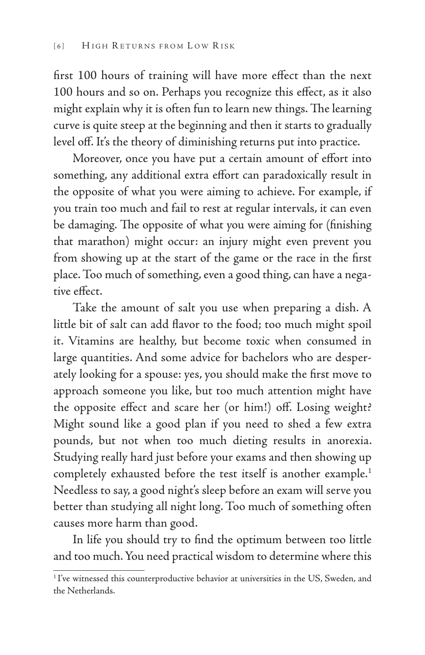first 100 hours of training will have more effect than the next 100 hours and so on. Perhaps you recognize this effect, as it also might explain why it is often fun to learn new things. The learning curve is quite steep at the beginning and then it starts to gradually level off. It's the theory of diminishing returns put into practice.

Moreover, once you have put a certain amount of effort into something, any additional extra effort can paradoxically result in the opposite of what you were aiming to achieve. For example, if you train too much and fail to rest at regular intervals, it can even be damaging. The opposite of what you were aiming for (finishing that marathon) might occur: an injury might even prevent you from showing up at the start of the game or the race in the first place. Too much of something, even a good thing, can have a negative effect.

Take the amount of salt you use when preparing a dish. A little bit of salt can add flavor to the food; too much might spoil it. Vitamins are healthy, but become toxic when consumed in large quantities. And some advice for bachelors who are desperately looking for a spouse: yes, you should make the first move to approach someone you like, but too much attention might have the opposite effect and scare her (or him!) off. Losing weight? Might sound like a good plan if you need to shed a few extra pounds, but not when too much dieting results in anorexia. Studying really hard just before your exams and then showing up completely exhausted before the test itself is another example.<sup>1</sup> Needless to say, a good night's sleep before an exam will serve you better than studying all night long. Too much of something often causes more harm than good.

In life you should try to find the optimum between too little and too much. You need practical wisdom to determine where this

<sup>&</sup>lt;sup>1</sup>I've witnessed this counterproductive behavior at universities in the US, Sweden, and the Netherlands.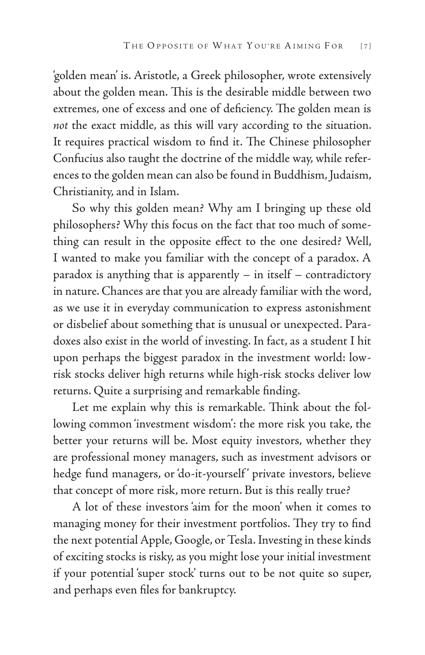'golden mean' is. Aristotle, a Greek philosopher, wrote extensively about the golden mean. This is the desirable middle between two extremes, one of excess and one of deficiency. The golden mean is *not* the exact middle, as this will vary according to the situation. It requires practical wisdom to find it. The Chinese philosopher Confucius also taught the doctrine of the middle way, while references to the golden mean can also be found in Buddhism, Judaism, Christianity, and in Islam.

So why this golden mean? Why am I bringing up these old philosophers? Why this focus on the fact that too much of something can result in the opposite effect to the one desired? Well, I wanted to make you familiar with the concept of a paradox. A paradox is anything that is apparently  $-$  in itself  $-$  contradictory in nature. Chances are that you are already familiar with the word, as we use it in everyday communication to express astonishment or disbelief about something that is unusual or unexpected. Paradoxes also exist in the world of investing. In fact, as a student I hit upon perhaps the biggest paradox in the investment world: lowrisk stocks deliver high returns while high-risk stocks deliver low returns. Quite a surprising and remarkable finding.

Let me explain why this is remarkable. Think about the following common 'investment wisdom': the more risk you take, the better your returns will be. Most equity investors, whether they are professional money managers, such as investment advisors or hedge fund managers, or 'do-it-yourself' private investors, believe that concept of more risk, more return. But is this really true?

A lot of these investors 'aim for the moon' when it comes to managing money for their investment portfolios. They try to find the next potential Apple, Google, or Tesla. Investing in these kinds of exciting stocks is risky, as you might lose your initial investment if your potential 'super stock' turns out to be not quite so super, and perhaps even files for bankruptcy.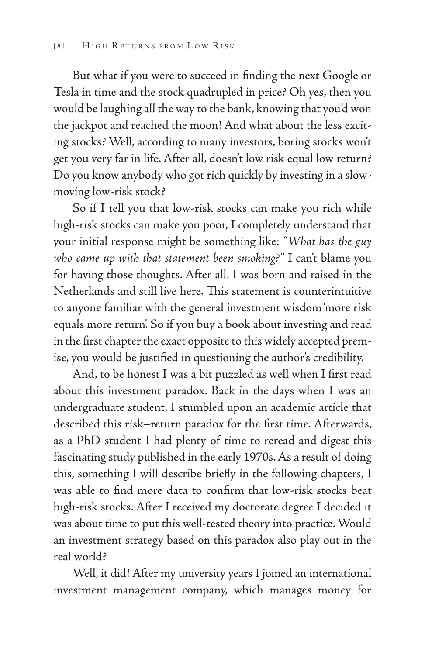But what if you were to succeed in finding the next Google or Tesla in time and the stock quadrupled in price? Oh yes, then you would be laughing all the way to the bank, knowing that you'd won the jackpot and reached the moon! And what about the less exciting stocks? Well, according to many investors, boring stocks won't get you very far in life. After all, doesn't low risk equal low return? Do you know anybody who got rich quickly by investing in a slowmoving low-risk stock?

So if I tell you that low-risk stocks can make you rich while high-risk stocks can make you poor, I completely understand that your initial response might be something like: *"What has the guy who came up with that statement been smoking?"* I can't blame you for having those thoughts. After all, I was born and raised in the Netherlands and still live here. This statement is counterintuitive to anyone familiar with the general investment wisdom 'more risk equals more return'. So if you buy a book about investing and read in the first chapter the exact opposite to this widely accepted premise, you would be justified in questioning the author's credibility.

And, to be honest I was a bit puzzled as well when I first read about this investment paradox. Back in the days when I was an undergraduate student, I stumbled upon an academic article that described this risk–return paradox for the first time. Afterwards, as a PhD student I had plenty of time to reread and digest this fascinating study published in the early 1970s. As a result of doing this, something I will describe briefly in the following chapters, I was able to find more data to confirm that low-risk stocks beat high-risk stocks. After I received my doctorate degree I decided it was about time to put this well-tested theory into practice. Would an investment strategy based on this paradox also play out in the real world?

Well, it did! After my university years I joined an international investment management company, which manages money for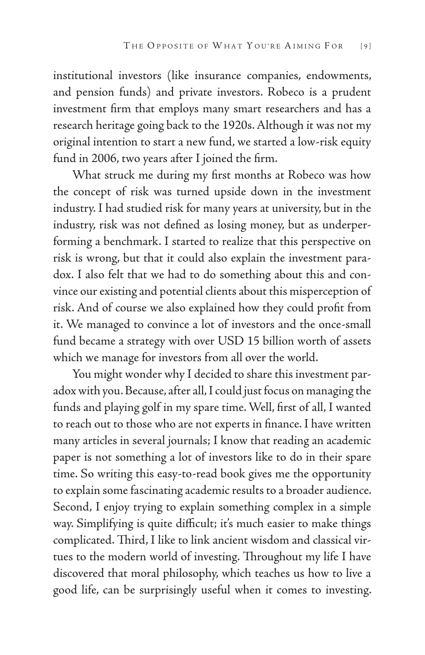institutional investors (like insurance companies, endowments, and pension funds) and private investors. Robeco is a prudent investment firm that employs many smart researchers and has a research heritage going back to the 1920s. Although it was not my original intention to start a new fund, we started a low-risk equity fund in 2006, two years after I joined the firm.

What struck me during my first months at Robeco was how the concept of risk was turned upside down in the investment industry. I had studied risk for many years at university, but in the industry, risk was not defined as losing money, but as underperforming a benchmark. I started to realize that this perspective on risk is wrong, but that it could also explain the investment paradox. I also felt that we had to do something about this and convince our existing and potential clients about this misperception of risk. And of course we also explained how they could profit from it. We managed to convince a lot of investors and the once-small fund became a strategy with over USD 15 billion worth of assets which we manage for investors from all over the world.

You might wonder why I decided to share this investment paradox with you. Because, after all, I could just focus on managing the funds and playing golf in my spare time. Well, first of all, I wanted to reach out to those who are not experts in finance. I have written many articles in several journals; I know that reading an academic paper is not something a lot of investors like to do in their spare time. So writing this easy-to-read book gives me the opportunity to explain some fascinating academic results to a broader audience. Second, I enjoy trying to explain something complex in a simple way. Simplifying is quite difficult; it's much easier to make things complicated. Third, I like to link ancient wisdom and classical virtues to the modern world of investing. Throughout my life I have discovered that moral philosophy, which teaches us how to live a good life, can be surprisingly useful when it comes to investing.